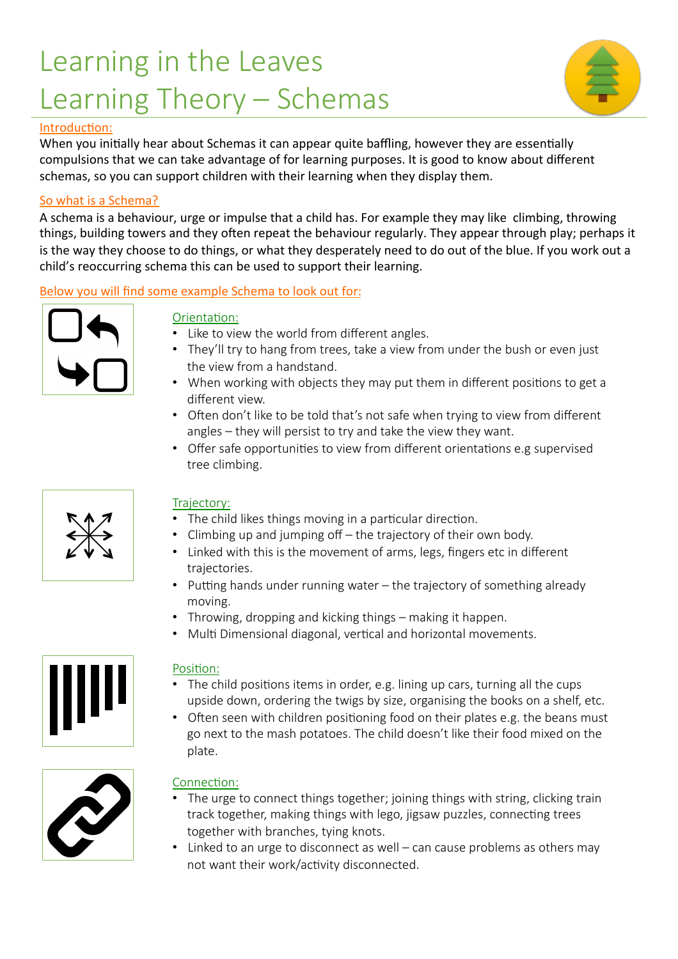# Learning in the Leaves Learning Theory – Schemas



#### Introduction:

When you initially hear about Schemas it can appear quite baffling, however they are essentially compulsions that we can take advantage of for learning purposes. It is good to know about different schemas, so you can support children with their learning when they display them.

#### So what is a Schema?

A schema is a behaviour, urge or impulse that a child has. For example they may like climbing, throwing things, building towers and they often repeat the behaviour regularly. They appear through play; perhaps it is the way they choose to do things, or what they desperately need to do out of the blue. If you work out a child's reoccurring schema this can be used to support their learning.

#### Below you will find some example Schema to look out for:



## Orientation:

- Like to view the world from different angles.
- They'll try to hang from trees, take a view from under the bush or even just the view from a handstand.
- When working with objects they may put them in different positions to get a different view.
- Often don't like to be told that's not safe when trying to view from different angles – they will persist to try and take the view they want.
- Offer safe opportunities to view from different orientations e.g supervised tree climbing.



## Trajectory:

- The child likes things moving in a particular direction.
- Climbing up and jumping off the trajectory of their own body.
- Linked with this is the movement of arms, legs, fingers etc in different trajectories.
- Putting hands under running water the trajectory of something already moving.
- Throwing, dropping and kicking things making it happen.
- Multi Dimensional diagonal, vertical and horizontal movements.



#### Position:

- The child positions items in order, e.g. lining up cars, turning all the cups upside down, ordering the twigs by size, organising the books on a shelf, etc.
- Often seen with children positioning food on their plates e.g. the beans must go next to the mash potatoes. The child doesn't like their food mixed on the plate.



## Connection:

- The urge to connect things together; joining things with string, clicking train track together, making things with lego, jigsaw puzzles, connecting trees together with branches, tying knots.
- Linked to an urge to disconnect as well can cause problems as others may not want their work/activity disconnected.